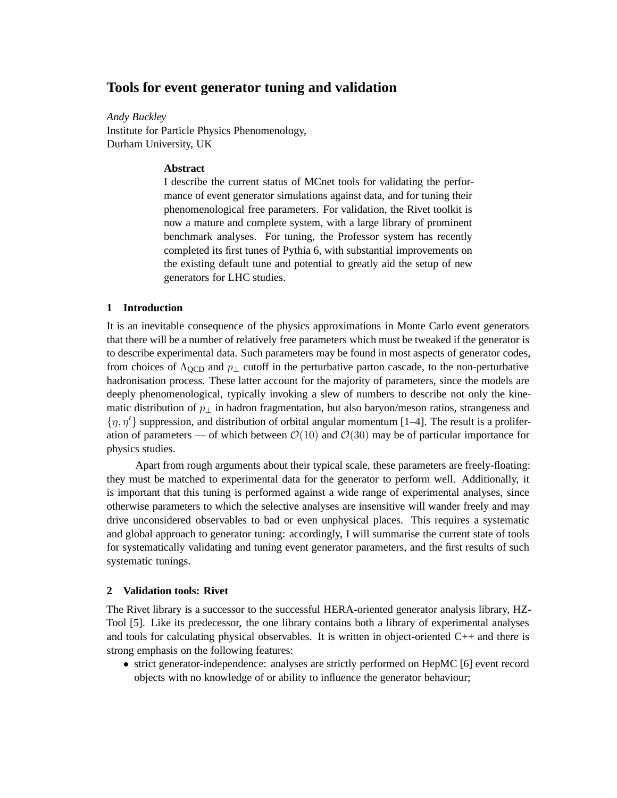# **Tools for event generator tuning and validation**

*Andy Buckley* Institute for Particle Physics Phenomenology, Durham University, UK

## **Abstract**

I describe the current status of MCnet tools for validating the performance of event generator simulations against data, and for tuning their phenomenological free parameters. For validation, the Rivet toolkit is now a mature and complete system, with a large library of prominent benchmark analyses. For tuning, the Professor system has recently completed its first tunes of Pythia 6, with substantial improvements on the existing default tune and potential to greatly aid the setup of new generators for LHC studies.

# **1 Introduction**

It is an inevitable consequence of the physics approximations in Monte Carlo event generators that there will be a number of relatively free parameters which must be tweaked if the generator is to describe experimental data. Such parameters may be found in most aspects of generator codes, from choices of  $\Lambda_{\text{QCD}}$  and  $p_{\perp}$  cutoff in the perturbative parton cascade, to the non-perturbative hadronisation process. These latter account for the majority of parameters, since the models are deeply phenomenological, typically invoking a slew of numbers to describe not only the kinematic distribution of  $p_{\perp}$  in hadron fragmentation, but also baryon/meson ratios, strangeness and  $\{\eta, \eta'\}$  suppression, and distribution of orbital angular momentum [1–4]. The result is a proliferation of parameters — of which between  $\mathcal{O}(10)$  and  $\mathcal{O}(30)$  may be of particular importance for physics studies.

Apart from rough arguments about their typical scale, these parameters are freely-floating: they must be matched to experimental data for the generator to perform well. Additionally, it is important that this tuning is performed against a wide range of experimental analyses, since otherwise parameters to which the selective analyses are insensitive will wander freely and may drive unconsidered observables to bad or even unphysical places. This requires a systematic and global approach to generator tuning: accordingly, I will summarise the current state of tools for systematically validating and tuning event generator parameters, and the first results of such systematic tunings.

### **2 Validation tools: Rivet**

The Rivet library is a successor to the successful HERA-oriented generator analysis library, HZ-Tool [5]. Like its predecessor, the one library contains both a library of experimental analyses and tools for calculating physical observables. It is written in object-oriented  $C_{++}$  and there is strong emphasis on the following features:

• strict generator-independence: analyses are strictly performed on HepMC [6] event record objects with no knowledge of or ability to influence the generator behaviour;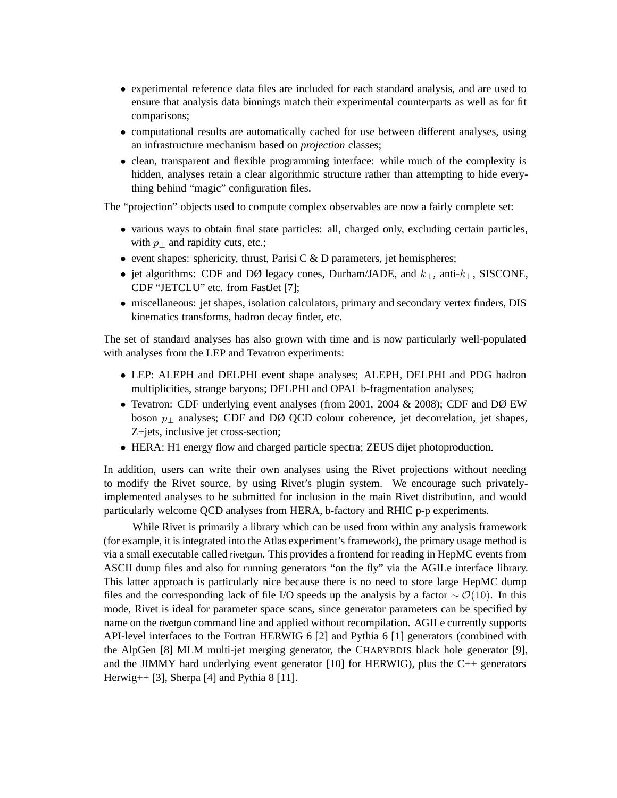- experimental reference data files are included for each standard analysis, and are used to ensure that analysis data binnings match their experimental counterparts as well as for fit comparisons;
- computational results are automatically cached for use between different analyses, using an infrastructure mechanism based on *projection* classes;
- clean, transparent and flexible programming interface: while much of the complexity is hidden, analyses retain a clear algorithmic structure rather than attempting to hide everything behind "magic" configuration files.

The "projection" objects used to compute complex observables are now a fairly complete set:

- various ways to obtain final state particles: all, charged only, excluding certain particles, with  $p_{\perp}$  and rapidity cuts, etc.;
- event shapes: sphericity, thrust, Parisi C  $\&$  D parameters, jet hemispheres;
- jet algorithms: CDF and DØ legacy cones, Durham/JADE, and  $k_{\perp}$ , anti- $k_{\perp}$ , SISCONE, CDF "JETCLU" etc. from FastJet [7];
- miscellaneous: jet shapes, isolation calculators, primary and secondary vertex finders, DIS kinematics transforms, hadron decay finder, etc.

The set of standard analyses has also grown with time and is now particularly well-populated with analyses from the LEP and Tevatron experiments:

- LEP: ALEPH and DELPHI event shape analyses; ALEPH, DELPHI and PDG hadron multiplicities, strange baryons; DELPHI and OPAL b-fragmentation analyses;
- Tevatron: CDF underlying event analyses (from 2001, 2004 & 2008); CDF and DØ EW boson  $p_{\perp}$  analyses; CDF and DØ QCD colour coherence, jet decorrelation, jet shapes, Z+jets, inclusive jet cross-section;
- HERA: H1 energy flow and charged particle spectra; ZEUS dijet photoproduction.

In addition, users can write their own analyses using the Rivet projections without needing to modify the Rivet source, by using Rivet's plugin system. We encourage such privatelyimplemented analyses to be submitted for inclusion in the main Rivet distribution, and would particularly welcome QCD analyses from HERA, b-factory and RHIC p-p experiments.

While Rivet is primarily a library which can be used from within any analysis framework (for example, it is integrated into the Atlas experiment's framework), the primary usage method is via a small executable called rivetgun. This provides a frontend for reading in HepMC events from ASCII dump files and also for running generators "on the fly" via the AGILe interface library. This latter approach is particularly nice because there is no need to store large HepMC dump files and the corresponding lack of file I/O speeds up the analysis by a factor  $\sim \mathcal{O}(10)$ . In this mode, Rivet is ideal for parameter space scans, since generator parameters can be specified by name on the rivetgun command line and applied without recompilation. AGILe currently supports API-level interfaces to the Fortran HERWIG 6 [2] and Pythia 6 [1] generators (combined with the AlpGen [8] MLM multi-jet merging generator, the CHARYBDIS black hole generator [9], and the JIMMY hard underlying event generator [10] for HERWIG), plus the C++ generators Herwig++ [3], Sherpa [4] and Pythia 8 [11].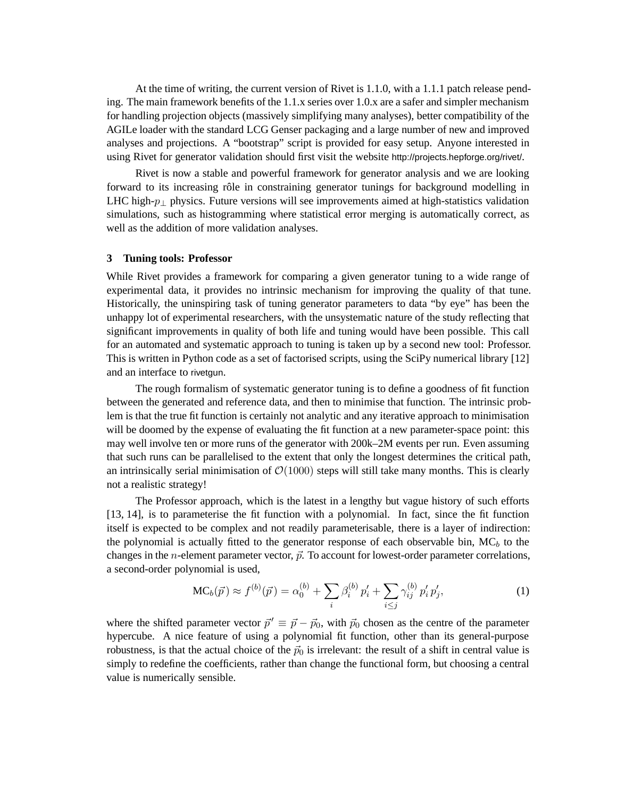At the time of writing, the current version of Rivet is 1.1.0, with a 1.1.1 patch release pending. The main framework benefits of the 1.1.x series over 1.0.x are a safer and simpler mechanism for handling projection objects (massively simplifying many analyses), better compatibility of the AGILe loader with the standard LCG Genser packaging and a large number of new and improved analyses and projections. A "bootstrap" script is provided for easy setup. Anyone interested in using Rivet for generator validation should first visit the website http://projects.hepforge.org/rivet/.

Rivet is now a stable and powerful framework for generator analysis and we are looking forward to its increasing rôle in constraining generator tunings for background modelling in LHC high- $p_{\perp}$  physics. Future versions will see improvements aimed at high-statistics validation simulations, such as histogramming where statistical error merging is automatically correct, as well as the addition of more validation analyses.

#### **3 Tuning tools: Professor**

While Rivet provides a framework for comparing a given generator tuning to a wide range of experimental data, it provides no intrinsic mechanism for improving the quality of that tune. Historically, the uninspiring task of tuning generator parameters to data "by eye" has been the unhappy lot of experimental researchers, with the unsystematic nature of the study reflecting that significant improvements in quality of both life and tuning would have been possible. This call for an automated and systematic approach to tuning is taken up by a second new tool: Professor. This is written in Python code as a set of factorised scripts, using the SciPy numerical library [12] and an interface to rivetgun.

The rough formalism of systematic generator tuning is to define a goodness of fit function between the generated and reference data, and then to minimise that function. The intrinsic problem is that the true fit function is certainly not analytic and any iterative approach to minimisation will be doomed by the expense of evaluating the fit function at a new parameter-space point: this may well involve ten or more runs of the generator with 200k–2M events per run. Even assuming that such runs can be parallelised to the extent that only the longest determines the critical path, an intrinsically serial minimisation of  $\mathcal{O}(1000)$  steps will still take many months. This is clearly not a realistic strategy!

The Professor approach, which is the latest in a lengthy but vague history of such efforts [13, 14], is to parameterise the fit function with a polynomial. In fact, since the fit function itself is expected to be complex and not readily parameterisable, there is a layer of indirection: the polynomial is actually fitted to the generator response of each observable bin,  $MC_b$  to the changes in the *n*-element parameter vector,  $\vec{p}$ . To account for lowest-order parameter correlations, a second-order polynomial is used,

$$
MC_b(\vec{p}) \approx f^{(b)}(\vec{p}) = \alpha_0^{(b)} + \sum_i \beta_i^{(b)} p'_i + \sum_{i \le j} \gamma_{ij}^{(b)} p'_i p'_j,
$$
 (1)

where the shifted parameter vector  $\vec{p}' \equiv \vec{p} - \vec{p}_0$ , with  $\vec{p}_0$  chosen as the centre of the parameter hypercube. A nice feature of using a polynomial fit function, other than its general-purpose robustness, is that the actual choice of the  $\vec{p}_0$  is irrelevant: the result of a shift in central value is simply to redefine the coefficients, rather than change the functional form, but choosing a central value is numerically sensible.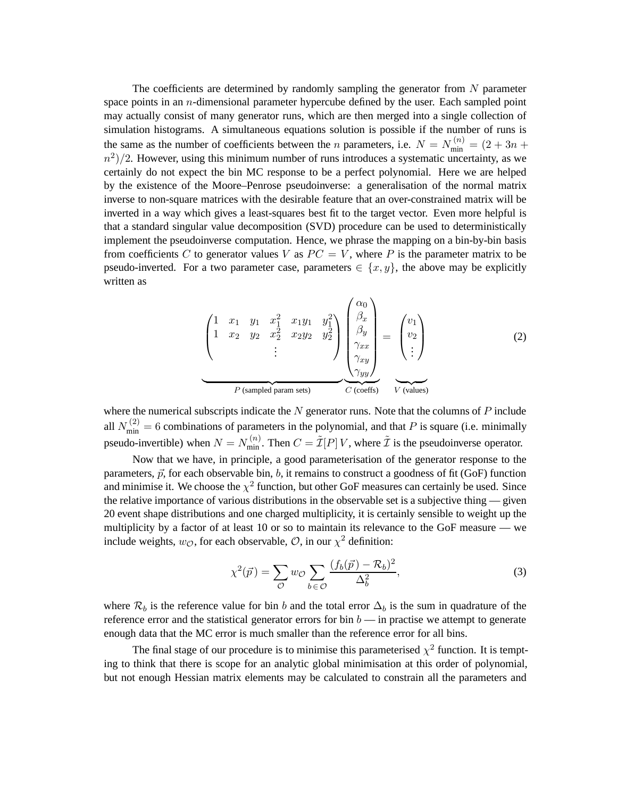The coefficients are determined by randomly sampling the generator from  $N$  parameter space points in an  $n$ -dimensional parameter hypercube defined by the user. Each sampled point may actually consist of many generator runs, which are then merged into a single collection of simulation histograms. A simultaneous equations solution is possible if the number of runs is the same as the number of coefficients between the *n* parameters, i.e.  $N = N_{\min}^{(n)} = (2 + 3n +$  $(n^2)/2$ . However, using this minimum number of runs introduces a systematic uncertainty, as we certainly do not expect the bin MC response to be a perfect polynomial. Here we are helped by the existence of the Moore–Penrose pseudoinverse: a generalisation of the normal matrix inverse to non-square matrices with the desirable feature that an over-constrained matrix will be inverted in a way which gives a least-squares best fit to the target vector. Even more helpful is that a standard singular value decomposition (SVD) procedure can be used to deterministically implement the pseudoinverse computation. Hence, we phrase the mapping on a bin-by-bin basis from coefficients C to generator values V as  $PC = V$ , where P is the parameter matrix to be pseudo-inverted. For a two parameter case, parameters  $\in \{x, y\}$ , the above may be explicitly written as

$$
\underbrace{\begin{pmatrix} 1 & x_1 & y_1 & x_1^2 & x_1y_1 & y_1^2 \\ 1 & x_2 & y_2 & x_2^2 & x_2y_2 & y_2^2 \\ & & & \vdots & & \end{pmatrix}}_{P \text{ (sampled param sets)}} \underbrace{\begin{pmatrix} \alpha_0 \\ \beta_x \\ \beta_y \\ \gamma_{xx} \\ \gamma_{yy} \end{pmatrix}}_{C \text{ (coeffs)}} = \underbrace{\begin{pmatrix} v_1 \\ v_2 \\ \vdots \end{pmatrix}}_{V \text{ (values) }} \tag{2}
$$

where the numerical subscripts indicate the  $N$  generator runs. Note that the columns of  $P$  include all  $N_{\text{min}}^{(2)} = 6$  combinations of parameters in the polynomial, and that P is square (i.e. minimally pseudo-invertible) when  $N = N_{\min}^{(n)}$ . Then  $C = \tilde{\mathcal{I}}[P]V$ , where  $\tilde{\mathcal{I}}$  is the pseudoinverse operator.

Now that we have, in principle, a good parameterisation of the generator response to the parameters,  $\vec{p}$ , for each observable bin, b, it remains to construct a goodness of fit (GoF) function and minimise it. We choose the  $\chi^2$  function, but other GoF measures can certainly be used. Since the relative importance of various distributions in the observable set is a subjective thing — given 20 event shape distributions and one charged multiplicity, it is certainly sensible to weight up the multiplicity by a factor of at least 10 or so to maintain its relevance to the GoF measure — we include weights,  $w_{\mathcal{O}}$ , for each observable,  $\mathcal{O}$ , in our  $\chi^2$  definition:

$$
\chi^2(\vec{p}) = \sum_{\mathcal{O}} w_{\mathcal{O}} \sum_{b \in \mathcal{O}} \frac{(f_b(\vec{p}) - \mathcal{R}_b)^2}{\Delta_b^2},\tag{3}
$$

where  $\mathcal{R}_b$  is the reference value for bin b and the total error  $\Delta_b$  is the sum in quadrature of the reference error and the statistical generator errors for bin  $b$  — in practise we attempt to generate enough data that the MC error is much smaller than the reference error for all bins.

The final stage of our procedure is to minimise this parameterised  $\chi^2$  function. It is tempting to think that there is scope for an analytic global minimisation at this order of polynomial, but not enough Hessian matrix elements may be calculated to constrain all the parameters and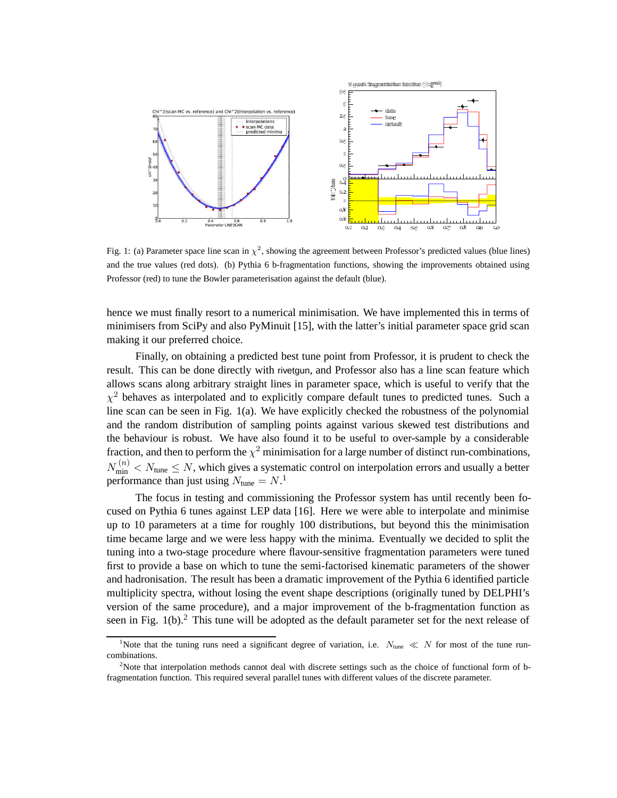

Fig. 1: (a) Parameter space line scan in  $\chi^2$ , showing the agreement between Professor's predicted values (blue lines) and the true values (red dots). (b) Pythia 6 b-fragmentation functions, showing the improvements obtained using Professor (red) to tune the Bowler parameterisation against the default (blue).

hence we must finally resort to a numerical minimisation. We have implemented this in terms of minimisers from SciPy and also PyMinuit [15], with the latter's initial parameter space grid scan making it our preferred choice.

Finally, on obtaining a predicted best tune point from Professor, it is prudent to check the result. This can be done directly with rivetgun, and Professor also has a line scan feature which allows scans along arbitrary straight lines in parameter space, which is useful to verify that the  $\chi^2$  behaves as interpolated and to explicitly compare default tunes to predicted tunes. Such a line scan can be seen in Fig. 1(a). We have explicitly checked the robustness of the polynomial and the random distribution of sampling points against various skewed test distributions and the behaviour is robust. We have also found it to be useful to over-sample by a considerable fraction, and then to perform the  $\chi^2$  minimisation for a large number of distinct run-combinations,  $N_{\min}^{(n)} < N_{\text{tune}} \le N$ , which gives a systematic control on interpolation errors and usually a better performance than just using  $N_{\text{tune}} = N$ .<sup>1</sup>

The focus in testing and commissioning the Professor system has until recently been focused on Pythia 6 tunes against LEP data [16]. Here we were able to interpolate and minimise up to 10 parameters at a time for roughly 100 distributions, but beyond this the minimisation time became large and we were less happy with the minima. Eventually we decided to split the tuning into a two-stage procedure where flavour-sensitive fragmentation parameters were tuned first to provide a base on which to tune the semi-factorised kinematic parameters of the shower and hadronisation. The result has been a dramatic improvement of the Pythia 6 identified particle multiplicity spectra, without losing the event shape descriptions (originally tuned by DELPHI's version of the same procedure), and a major improvement of the b-fragmentation function as seen in Fig.  $1(b)$ .<sup>2</sup> This tune will be adopted as the default parameter set for the next release of

<sup>&</sup>lt;sup>1</sup>Note that the tuning runs need a significant degree of variation, i.e.  $N_{\text{tune}} \ll N$  for most of the tune runcombinations.

<sup>&</sup>lt;sup>2</sup>Note that interpolation methods cannot deal with discrete settings such as the choice of functional form of bfragmentation function. This required several parallel tunes with different values of the discrete parameter.